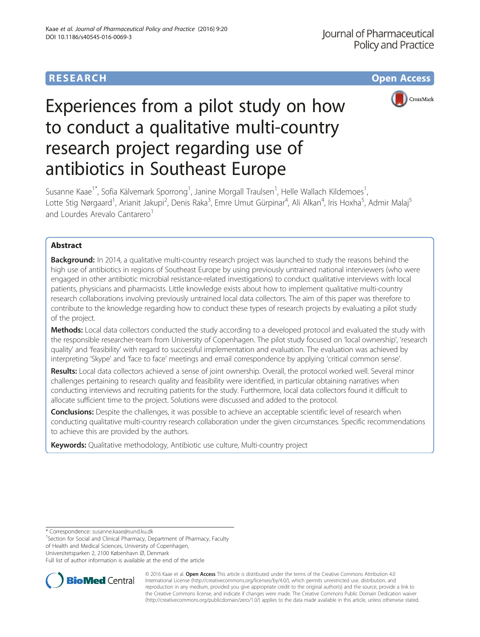# **RESEARCH CHE Open Access**



# Experiences from a pilot study on how to conduct a qualitative multi-country research project regarding use of antibiotics in Southeast Europe

Susanne Kaae<sup>1\*</sup>, Sofia Kälvemark Sporrong<sup>1</sup>, Janine Morgall Traulsen<sup>1</sup>, Helle Wallach Kildemoes<sup>1</sup> , Lotte Stig Nørgaard<sup>1</sup>, Arianit Jakupi<sup>2</sup>, Denis Raka<sup>3</sup>, Emre Umut Gürpinar<sup>4</sup>, Ali Alkan<sup>4</sup>, Iris Hoxha<sup>5</sup>, Admir Malaj<sup>5</sup> and Lourdes Arevalo Cantarero<sup>1</sup>

# Abstract

**Background:** In 2014, a qualitative multi-country research project was launched to study the reasons behind the high use of antibiotics in regions of Southeast Europe by using previously untrained national interviewers (who were engaged in other antibiotic microbial resistance-related investigations) to conduct qualitative interviews with local patients, physicians and pharmacists. Little knowledge exists about how to implement qualitative multi-country research collaborations involving previously untrained local data collectors. The aim of this paper was therefore to contribute to the knowledge regarding how to conduct these types of research projects by evaluating a pilot study of the project.

Methods: Local data collectors conducted the study according to a developed protocol and evaluated the study with the responsible researcher-team from University of Copenhagen. The pilot study focused on 'local ownership', 'research quality' and 'feasibility' with regard to successful implementation and evaluation. The evaluation was achieved by interpreting 'Skype' and 'face to face' meetings and email correspondence by applying 'critical common sense'.

Results: Local data collectors achieved a sense of joint ownership. Overall, the protocol worked well. Several minor challenges pertaining to research quality and feasibility were identified, in particular obtaining narratives when conducting interviews and recruiting patients for the study. Furthermore, local data collectors found it difficult to allocate sufficient time to the project. Solutions were discussed and added to the protocol.

Conclusions: Despite the challenges, it was possible to achieve an acceptable scientific level of research when conducting qualitative multi-country research collaboration under the given circumstances. Specific recommendations to achieve this are provided by the authors.

Keywords: Qualitative methodology, Antibiotic use culture, Multi-country project

\* Correspondence: [susanne.kaae@sund.ku.dk](mailto:susanne.kaae@sund.ku.dk) <sup>1</sup>

<sup>1</sup>Section for Social and Clinical Pharmacy, Department of Pharmacy, Faculty of Health and Medical Sciences, University of Copenhagen,

Universitetsparken 2, 2100 København Ø, Denmark Full list of author information is available at the end of the article



© 2016 Kaae et al. Open Access This article is distributed under the terms of the Creative Commons Attribution 4.0 International License [\(http://creativecommons.org/licenses/by/4.0/](http://creativecommons.org/licenses/by/4.0/)), which permits unrestricted use, distribution, and reproduction in any medium, provided you give appropriate credit to the original author(s) and the source, provide a link to the Creative Commons license, and indicate if changes were made. The Creative Commons Public Domain Dedication waiver [\(http://creativecommons.org/publicdomain/zero/1.0/](http://creativecommons.org/publicdomain/zero/1.0/)) applies to the data made available in this article, unless otherwise stated.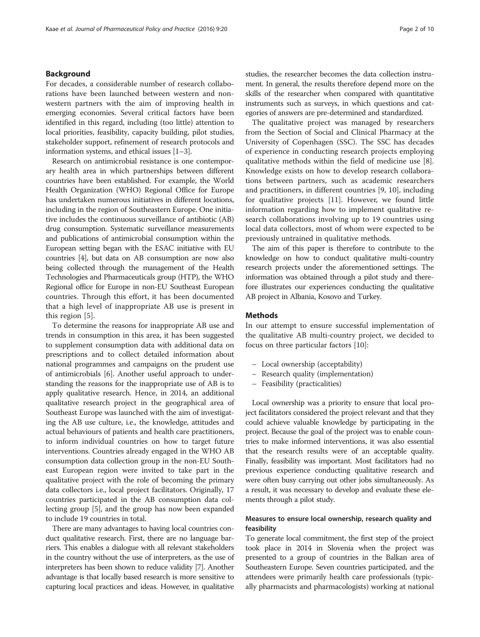# Background

For decades, a considerable number of research collaborations have been launched between western and nonwestern partners with the aim of improving health in emerging economies. Several critical factors have been identified in this regard, including (too little) attention to local priorities, feasibility, capacity building, pilot studies, stakeholder support, refinement of research protocols and information systems, and ethical issues [[1](#page-9-0)–[3](#page-9-0)].

Research on antimicrobial resistance is one contemporary health area in which partnerships between different countries have been established. For example, the World Health Organization (WHO) Regional Office for Europe has undertaken numerous initiatives in different locations, including in the region of Southeastern Europe. One initiative includes the continuous surveillance of antibiotic (AB) drug consumption. Systematic surveillance measurements and publications of antimicrobial consumption within the European setting began with the ESAC initiative with EU countries [\[4\]](#page-9-0), but data on AB consumption are now also being collected through the management of the Health Technologies and Pharmaceuticals group (HTP), the WHO Regional office for Europe in non-EU Southeast European countries. Through this effort, it has been documented that a high level of inappropriate AB use is present in this region [\[5](#page-9-0)].

To determine the reasons for inappropriate AB use and trends in consumption in this area, it has been suggested to supplement consumption data with additional data on prescriptions and to collect detailed information about national programmes and campaigns on the prudent use of antimicrobials [\[6\]](#page-9-0). Another useful approach to understanding the reasons for the inappropriate use of AB is to apply qualitative research. Hence, in 2014, an additional qualitative research project in the geographical area of Southeast Europe was launched with the aim of investigating the AB use culture, i.e., the knowledge, attitudes and actual behaviours of patients and health care practitioners, to inform individual countries on how to target future interventions. Countries already engaged in the WHO AB consumption data collection group in the non-EU Southeast European region were invited to take part in the qualitative project with the role of becoming the primary data collectors i.e., local project facilitators. Originally, 17 countries participated in the AB consumption data collecting group [\[5\]](#page-9-0), and the group has now been expanded to include 19 countries in total.

There are many advantages to having local countries conduct qualitative research. First, there are no language barriers. This enables a dialogue with all relevant stakeholders in the country without the use of interpreters, as the use of interpreters has been shown to reduce validity [\[7\]](#page-9-0). Another advantage is that locally based research is more sensitive to capturing local practices and ideas. However, in qualitative studies, the researcher becomes the data collection instrument. In general, the results therefore depend more on the skills of the researcher when compared with quantitative instruments such as surveys, in which questions and categories of answers are pre-determined and standardized.

The qualitative project was managed by researchers from the Section of Social and Clinical Pharmacy at the University of Copenhagen (SSC). The SSC has decades of experience in conducting research projects employing qualitative methods within the field of medicine use [\[8](#page-9-0)]. Knowledge exists on how to develop research collaborations between partners, such as academic researchers and practitioners, in different countries [\[9](#page-9-0), [10](#page-9-0)], including for qualitative projects [\[11](#page-9-0)]. However, we found little information regarding how to implement qualitative research collaborations involving up to 19 countries using local data collectors, most of whom were expected to be previously untrained in qualitative methods.

The aim of this paper is therefore to contribute to the knowledge on how to conduct qualitative multi-country research projects under the aforementioned settings. The information was obtained through a pilot study and therefore illustrates our experiences conducting the qualitative AB project in Albania, Kosovo and Turkey.

# **Methods**

In our attempt to ensure successful implementation of the qualitative AB multi-country project, we decided to focus on three particular factors [\[10](#page-9-0)]:

- Local ownership (acceptability)
- Research quality (implementation)
- Feasibility (practicalities)

Local ownership was a priority to ensure that local project facilitators considered the project relevant and that they could achieve valuable knowledge by participating in the project. Because the goal of the project was to enable countries to make informed interventions, it was also essential that the research results were of an acceptable quality. Finally, feasibility was important. Most facilitators had no previous experience conducting qualitative research and were often busy carrying out other jobs simultaneously. As a result, it was necessary to develop and evaluate these elements through a pilot study.

# Measures to ensure local ownership, research quality and feasibility

To generate local commitment, the first step of the project took place in 2014 in Slovenia when the project was presented to a group of countries in the Balkan area of Southeastern Europe. Seven countries participated, and the attendees were primarily health care professionals (typically pharmacists and pharmacologists) working at national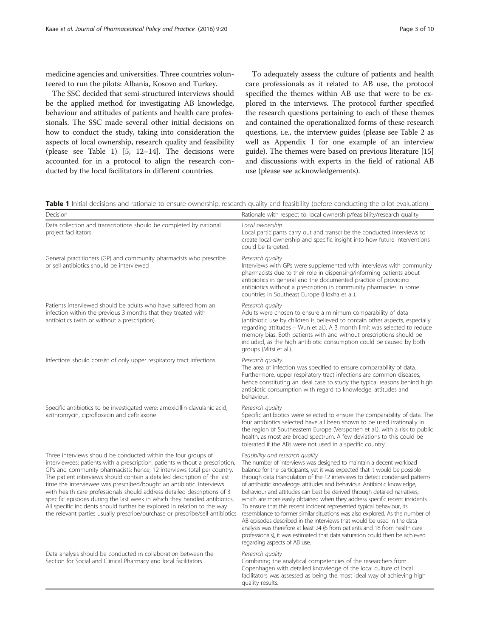medicine agencies and universities. Three countries volunteered to run the pilots: Albania, Kosovo and Turkey.

The SSC decided that semi-structured interviews should be the applied method for investigating AB knowledge, behaviour and attitudes of patients and health care professionals. The SSC made several other initial decisions on how to conduct the study, taking into consideration the aspects of local ownership, research quality and feasibility (please see Table 1) [\[5](#page-9-0), [12](#page-9-0)–[14\]](#page-9-0). The decisions were accounted for in a protocol to align the research conducted by the local facilitators in different countries.

To adequately assess the culture of patients and health care professionals as it related to AB use, the protocol specified the themes within AB use that were to be explored in the interviews. The protocol further specified the research questions pertaining to each of these themes and contained the operationalized forms of these research questions, i.e., the interview guides (please see Table [2](#page-3-0) as well as [Appendix 1](#page-7-0) for one example of an interview guide). The themes were based on previous literature [[15](#page-9-0)] and discussions with experts in the field of rational AB use (please see acknowledgements).

Table 1 Initial decisions and rationale to ensure ownership, research quality and feasibility (before conducting the pilot evaluation)

| Decision                                                                                                                                                                                                                                                                                                                                                                                                                                                                                                                                                                                                                                                                                           | Rationale with respect to: local ownership/feasibility/research quality                                                                                                                                                                                                                                                                                                                                                                                                                                                                                                                                                                                                                                                                                                                                                                                                                                                                         |
|----------------------------------------------------------------------------------------------------------------------------------------------------------------------------------------------------------------------------------------------------------------------------------------------------------------------------------------------------------------------------------------------------------------------------------------------------------------------------------------------------------------------------------------------------------------------------------------------------------------------------------------------------------------------------------------------------|-------------------------------------------------------------------------------------------------------------------------------------------------------------------------------------------------------------------------------------------------------------------------------------------------------------------------------------------------------------------------------------------------------------------------------------------------------------------------------------------------------------------------------------------------------------------------------------------------------------------------------------------------------------------------------------------------------------------------------------------------------------------------------------------------------------------------------------------------------------------------------------------------------------------------------------------------|
| Data collection and transcriptions should be completed by national<br>project facilitators                                                                                                                                                                                                                                                                                                                                                                                                                                                                                                                                                                                                         | Local ownership<br>Local participants carry out and transcribe the conducted interviews to<br>create local ownership and specific insight into how future interventions<br>could be targeted.                                                                                                                                                                                                                                                                                                                                                                                                                                                                                                                                                                                                                                                                                                                                                   |
| General practitioners (GP) and community pharmacists who prescribe<br>or sell antibiotics should be interviewed                                                                                                                                                                                                                                                                                                                                                                                                                                                                                                                                                                                    | Research quality<br>Interviews with GPs were supplemented with interviews with community<br>pharmacists due to their role in dispensing/informing patients about<br>antibiotics in general and the documented practice of providing<br>antibiotics without a prescription in community pharmacies in some<br>countries in Southeast Europe (Hoxha et al.).                                                                                                                                                                                                                                                                                                                                                                                                                                                                                                                                                                                      |
| Patients interviewed should be adults who have suffered from an<br>infection within the previous 3 months that they treated with<br>antibiotics (with or without a prescription)                                                                                                                                                                                                                                                                                                                                                                                                                                                                                                                   | Research quality<br>Adults were chosen to ensure a minimum comparability of data<br>(antibiotic use by children is believed to contain other aspects, especially<br>regarding attitudes - Wun et al.). A 3 month limit was selected to reduce<br>memory bias. Both patients with and without prescriptions should be<br>included, as the high antibiotic consumption could be caused by both<br>groups (Mitsi et al.).                                                                                                                                                                                                                                                                                                                                                                                                                                                                                                                          |
| Infections should consist of only upper respiratory tract infections                                                                                                                                                                                                                                                                                                                                                                                                                                                                                                                                                                                                                               | Research quality<br>The area of infection was specified to ensure comparability of data.<br>Furthermore, upper respiratory tract infections are common diseases,<br>hence constituting an ideal case to study the typical reasons behind high<br>antibiotic consumption with regard to knowledge, attitudes and<br>behaviour.                                                                                                                                                                                                                                                                                                                                                                                                                                                                                                                                                                                                                   |
| Specific antibiotics to be investigated were: amoxicillin-clavulanic acid,<br>azithromycin, ciprofloxacin and ceftriaxone                                                                                                                                                                                                                                                                                                                                                                                                                                                                                                                                                                          | Research quality<br>Specific antibiotics were selected to ensure the comparability of data. The<br>four antibiotics selected have all been shown to be used irrationally in<br>the region of Southeastern Europe (Versporten et al.), with a risk to public<br>health, as most are broad spectrum. A few deviations to this could be<br>tolerated if the ABs were not used in a specific country.                                                                                                                                                                                                                                                                                                                                                                                                                                                                                                                                               |
| Three interviews should be conducted within the four groups of<br>interviewees: patients with a prescription, patients without a prescription,<br>GPs and community pharmacists; hence, 12 interviews total per country.<br>The patient interviews should contain a detailed description of the last<br>time the interviewee was prescribed/bought an antibiotic. Interviews<br>with health care professionals should address detailed descriptions of 3<br>specific episodes during the last week in which they handled antibiotics.<br>All specific incidents should further be explored in relation to the way<br>the relevant parties usually prescribe/purchase or prescribe/sell antibiotics | Feasibility and research quality<br>The number of interviews was designed to maintain a decent workload<br>balance for the participants, yet it was expected that it would be possible<br>through data triangulation of the 12 interviews to detect condensed patterns<br>of antibiotic knowledge, attitudes and behaviour. Antibiotic knowledge,<br>behaviour and attitudes can best be derived through detailed narratives,<br>which are more easily obtained when they address specific recent incidents.<br>To ensure that this recent incident represented typical behaviour, its<br>resemblance to former similar situations was also explored. As the number of<br>AB episodes described in the interviews that would be used in the data<br>analysis was therefore at least 24 (6 from patients and 18 from health care<br>professionals), it was estimated that data saturation could then be achieved<br>regarding aspects of AB use. |
| Data analysis should be conducted in collaboration between the<br>Section for Social and Clinical Pharmacy and local facilitators                                                                                                                                                                                                                                                                                                                                                                                                                                                                                                                                                                  | Research quality<br>Combining the analytical competencies of the researchers from<br>Copenhagen with detailed knowledge of the local culture of local<br>facilitators was assessed as being the most ideal way of achieving high<br>quality results.                                                                                                                                                                                                                                                                                                                                                                                                                                                                                                                                                                                                                                                                                            |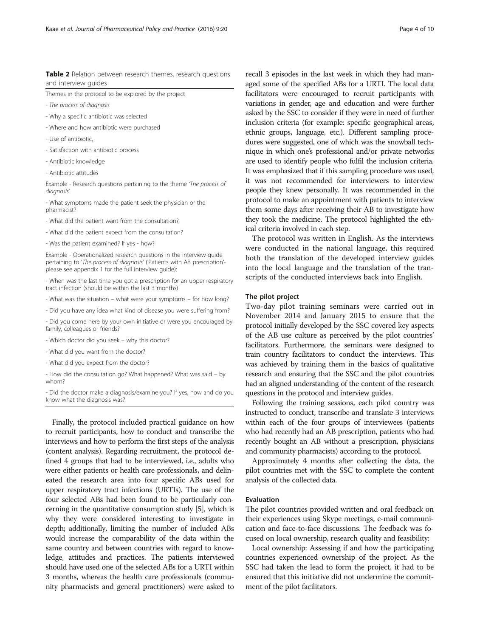<span id="page-3-0"></span>Table 2 Relation between research themes, research questions and interview guides

Themes in the protocol to be explored by the project

- The process of diagnosis
- Why a specific antibiotic was selected
- Where and how antibiotic were purchased
- Use of antibiotic,
- Satisfaction with antibiotic process
- Antibiotic knowledge
- Antibiotic attitudes

Example - Research questions pertaining to the theme 'The process of diagnosis'

- What symptoms made the patient seek the physician or the pharmacist?

- What did the patient want from the consultation?
- What did the patient expect from the consultation?
- Was the patient examined? If yes how?

Example - Operationalized research questions in the interview-guide pertaining to 'The process of diagnosis' ('Patients with AB prescription' please see appendix 1 for the full interview guide):

- When was the last time you got a prescription for an upper respiratory tract infection (should be within the last 3 months)

- What was the situation what were your symptoms for how long?
- Did you have any idea what kind of disease you were suffering from?

- Did you come here by your own initiative or were you encouraged by family, colleagues or friends?

- Which doctor did you seek why this doctor?
- What did you want from the doctor?
- What did you expect from the doctor?
- How did the consultation go? What happened? What was said by whom?

- Did the doctor make a diagnosis/examine you? If yes, how and do you know what the diagnosis was?

Finally, the protocol included practical guidance on how to recruit participants, how to conduct and transcribe the interviews and how to perform the first steps of the analysis (content analysis). Regarding recruitment, the protocol defined 4 groups that had to be interviewed, i.e., adults who were either patients or health care professionals, and delineated the research area into four specific ABs used for upper respiratory tract infections (URTIs). The use of the four selected ABs had been found to be particularly concerning in the quantitative consumption study [\[5](#page-9-0)], which is why they were considered interesting to investigate in depth; additionally, limiting the number of included ABs would increase the comparability of the data within the same country and between countries with regard to knowledge, attitudes and practices. The patients interviewed should have used one of the selected ABs for a URTI within 3 months, whereas the health care professionals (community pharmacists and general practitioners) were asked to

recall 3 episodes in the last week in which they had managed some of the specified ABs for a URTI. The local data facilitators were encouraged to recruit participants with variations in gender, age and education and were further asked by the SSC to consider if they were in need of further inclusion criteria (for example: specific geographical areas, ethnic groups, language, etc.). Different sampling procedures were suggested, one of which was the snowball technique in which one's professional and/or private networks are used to identify people who fulfil the inclusion criteria. It was emphasized that if this sampling procedure was used, it was not recommended for interviewers to interview people they knew personally. It was recommended in the protocol to make an appointment with patients to interview them some days after receiving their AB to investigate how they took the medicine. The protocol highlighted the ethical criteria involved in each step.

The protocol was written in English. As the interviews were conducted in the national language, this required both the translation of the developed interview guides into the local language and the translation of the transcripts of the conducted interviews back into English.

#### The pilot project

Two-day pilot training seminars were carried out in November 2014 and January 2015 to ensure that the protocol initially developed by the SSC covered key aspects of the AB use culture as perceived by the pilot countries' facilitators. Furthermore, the seminars were designed to train country facilitators to conduct the interviews. This was achieved by training them in the basics of qualitative research and ensuring that the SSC and the pilot countries had an aligned understanding of the content of the research questions in the protocol and interview guides.

Following the training sessions, each pilot country was instructed to conduct, transcribe and translate 3 interviews within each of the four groups of interviewees (patients who had recently had an AB prescription, patients who had recently bought an AB without a prescription, physicians and community pharmacists) according to the protocol.

Approximately 4 months after collecting the data, the pilot countries met with the SSC to complete the content analysis of the collected data.

#### Evaluation

The pilot countries provided written and oral feedback on their experiences using Skype meetings, e-mail communication and face-to-face discussions. The feedback was focused on local ownership, research quality and feasibility:

Local ownership: Assessing if and how the participating countries experienced ownership of the project. As the SSC had taken the lead to form the project, it had to be ensured that this initiative did not undermine the commitment of the pilot facilitators.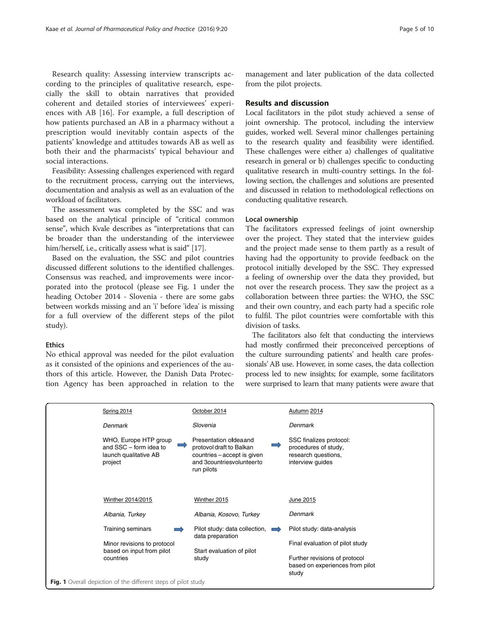Research quality: Assessing interview transcripts according to the principles of qualitative research, especially the skill to obtain narratives that provided coherent and detailed stories of interviewees' experiences with AB [\[16](#page-9-0)]. For example, a full description of how patients purchased an AB in a pharmacy without a prescription would inevitably contain aspects of the patients' knowledge and attitudes towards AB as well as both their and the pharmacists' typical behaviour and social interactions.

Feasibility: Assessing challenges experienced with regard to the recruitment process, carrying out the interviews, documentation and analysis as well as an evaluation of the workload of facilitators.

The assessment was completed by the SSC and was based on the analytical principle of "critical common sense", which Kvale describes as "interpretations that can be broader than the understanding of the interviewee him/herself, i.e., critically assess what is said" [[17](#page-9-0)].

Based on the evaluation, the SSC and pilot countries discussed different solutions to the identified challenges. Consensus was reached, and improvements were incorporated into the protocol (please see Fig. 1 under the heading October 2014 - Slovenia - there are some gabs between workds missing and an 'i' before 'idea' is missing for a full overview of the different steps of the pilot study).

## **Ethics**

No ethical approval was needed for the pilot evaluation as it consisted of the opinions and experiences of the authors of this article. However, the Danish Data Protection Agency has been approached in relation to the

management and later publication of the data collected from the pilot projects.

#### Results and discussion

Local facilitators in the pilot study achieved a sense of joint ownership. The protocol, including the interview guides, worked well. Several minor challenges pertaining to the research quality and feasibility were identified. These challenges were either a) challenges of qualitative research in general or b) challenges specific to conducting qualitative research in multi-country settings. In the following section, the challenges and solutions are presented and discussed in relation to methodological reflections on conducting qualitative research.

# Local ownership

The facilitators expressed feelings of joint ownership over the project. They stated that the interview guides and the project made sense to them partly as a result of having had the opportunity to provide feedback on the protocol initially developed by the SSC. They expressed a feeling of ownership over the data they provided, but not over the research process. They saw the project as a collaboration between three parties: the WHO, the SSC and their own country, and each party had a specific role to fulfil. The pilot countries were comfortable with this division of tasks.

The facilitators also felt that conducting the interviews had mostly confirmed their preconceived perceptions of the culture surrounding patients' and health care professionals' AB use. However, in some cases, the data collection process led to new insights; for example, some facilitators were surprised to learn that many patients were aware that

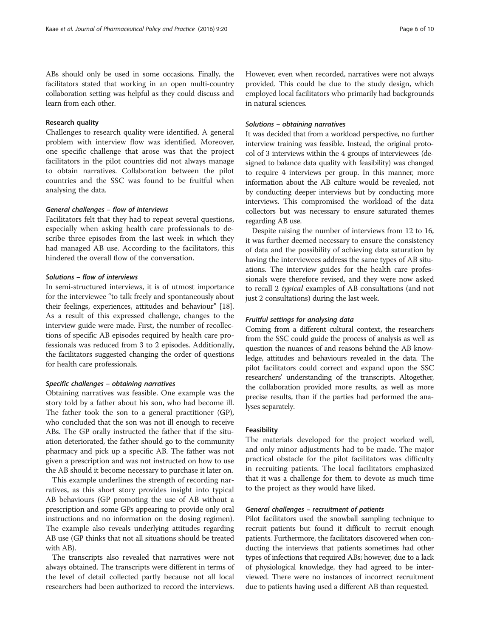ABs should only be used in some occasions. Finally, the facilitators stated that working in an open multi-country collaboration setting was helpful as they could discuss and learn from each other.

## Research quality

Challenges to research quality were identified. A general problem with interview flow was identified. Moreover, one specific challenge that arose was that the project facilitators in the pilot countries did not always manage to obtain narratives. Collaboration between the pilot countries and the SSC was found to be fruitful when analysing the data.

# General challenges – flow of interviews

Facilitators felt that they had to repeat several questions, especially when asking health care professionals to describe three episodes from the last week in which they had managed AB use. According to the facilitators, this hindered the overall flow of the conversation.

# Solutions – flow of interviews

In semi-structured interviews, it is of utmost importance for the interviewee "to talk freely and spontaneously about their feelings, experiences, attitudes and behaviour" [[18](#page-9-0)]. As a result of this expressed challenge, changes to the interview guide were made. First, the number of recollections of specific AB episodes required by health care professionals was reduced from 3 to 2 episodes. Additionally, the facilitators suggested changing the order of questions for health care professionals.

#### Specific challenges – obtaining narratives

Obtaining narratives was feasible. One example was the story told by a father about his son, who had become ill. The father took the son to a general practitioner (GP), who concluded that the son was not ill enough to receive ABs. The GP orally instructed the father that if the situation deteriorated, the father should go to the community pharmacy and pick up a specific AB. The father was not given a prescription and was not instructed on how to use the AB should it become necessary to purchase it later on.

This example underlines the strength of recording narratives, as this short story provides insight into typical AB behaviours (GP promoting the use of AB without a prescription and some GPs appearing to provide only oral instructions and no information on the dosing regimen). The example also reveals underlying attitudes regarding AB use (GP thinks that not all situations should be treated with AB).

The transcripts also revealed that narratives were not always obtained. The transcripts were different in terms of the level of detail collected partly because not all local researchers had been authorized to record the interviews.

However, even when recorded, narratives were not always provided. This could be due to the study design, which employed local facilitators who primarily had backgrounds in natural sciences.

#### Solutions – obtaining narratives

It was decided that from a workload perspective, no further interview training was feasible. Instead, the original protocol of 3 interviews within the 4 groups of interviewees (designed to balance data quality with feasibility) was changed to require 4 interviews per group. In this manner, more information about the AB culture would be revealed, not by conducting deeper interviews but by conducting more interviews. This compromised the workload of the data collectors but was necessary to ensure saturated themes regarding AB use.

Despite raising the number of interviews from 12 to 16, it was further deemed necessary to ensure the consistency of data and the possibility of achieving data saturation by having the interviewees address the same types of AB situations. The interview guides for the health care professionals were therefore revised, and they were now asked to recall 2 typical examples of AB consultations (and not just 2 consultations) during the last week.

# Fruitful settings for analysing data

Coming from a different cultural context, the researchers from the SSC could guide the process of analysis as well as question the nuances of and reasons behind the AB knowledge, attitudes and behaviours revealed in the data. The pilot facilitators could correct and expand upon the SSC researchers' understanding of the transcripts. Altogether, the collaboration provided more results, as well as more precise results, than if the parties had performed the analyses separately.

#### Feasibility

The materials developed for the project worked well, and only minor adjustments had to be made. The major practical obstacle for the pilot facilitators was difficulty in recruiting patients. The local facilitators emphasized that it was a challenge for them to devote as much time to the project as they would have liked.

## General challenges – recruitment of patients

Pilot facilitators used the snowball sampling technique to recruit patients but found it difficult to recruit enough patients. Furthermore, the facilitators discovered when conducting the interviews that patients sometimes had other types of infections that required ABs; however, due to a lack of physiological knowledge, they had agreed to be interviewed. There were no instances of incorrect recruitment due to patients having used a different AB than requested.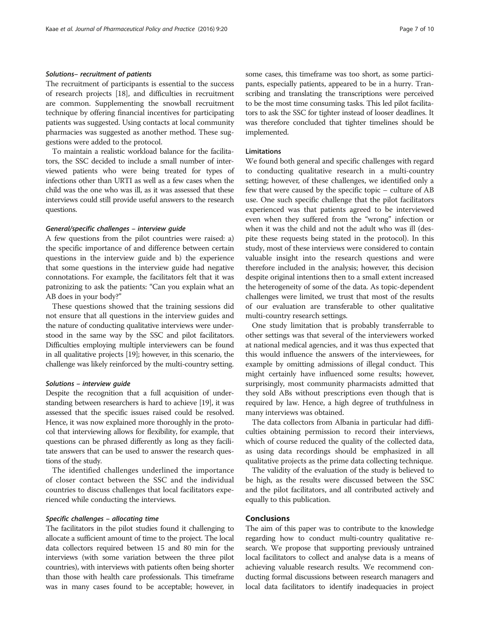# Solutions– recruitment of patients

The recruitment of participants is essential to the success of research projects [\[18\]](#page-9-0), and difficulties in recruitment are common. Supplementing the snowball recruitment technique by offering financial incentives for participating patients was suggested. Using contacts at local community pharmacies was suggested as another method. These suggestions were added to the protocol.

To maintain a realistic workload balance for the facilitators, the SSC decided to include a small number of interviewed patients who were being treated for types of infections other than URTI as well as a few cases when the child was the one who was ill, as it was assessed that these interviews could still provide useful answers to the research questions.

#### General/specific challenges – interview guide

A few questions from the pilot countries were raised: a) the specific importance of and difference between certain questions in the interview guide and b) the experience that some questions in the interview guide had negative connotations. For example, the facilitators felt that it was patronizing to ask the patients: "Can you explain what an AB does in your body?"

These questions showed that the training sessions did not ensure that all questions in the interview guides and the nature of conducting qualitative interviews were understood in the same way by the SSC and pilot facilitators. Difficulties employing multiple interviewers can be found in all qualitative projects [\[19](#page-9-0)]; however, in this scenario, the challenge was likely reinforced by the multi-country setting.

#### Solutions – interview guide

Despite the recognition that a full acquisition of understanding between researchers is hard to achieve [\[19\]](#page-9-0), it was assessed that the specific issues raised could be resolved. Hence, it was now explained more thoroughly in the protocol that interviewing allows for flexibility, for example, that questions can be phrased differently as long as they facilitate answers that can be used to answer the research questions of the study.

The identified challenges underlined the importance of closer contact between the SSC and the individual countries to discuss challenges that local facilitators experienced while conducting the interviews.

#### Specific challenges – allocating time

The facilitators in the pilot studies found it challenging to allocate a sufficient amount of time to the project. The local data collectors required between 15 and 80 min for the interviews (with some variation between the three pilot countries), with interviews with patients often being shorter than those with health care professionals. This timeframe was in many cases found to be acceptable; however, in some cases, this timeframe was too short, as some participants, especially patients, appeared to be in a hurry. Transcribing and translating the transcriptions were perceived to be the most time consuming tasks. This led pilot facilitators to ask the SSC for tighter instead of looser deadlines. It was therefore concluded that tighter timelines should be implemented.

#### Limitations

We found both general and specific challenges with regard to conducting qualitative research in a multi-country setting; however, of these challenges, we identified only a few that were caused by the specific topic – culture of AB use. One such specific challenge that the pilot facilitators experienced was that patients agreed to be interviewed even when they suffered from the "wrong" infection or when it was the child and not the adult who was ill (despite these requests being stated in the protocol). In this study, most of these interviews were considered to contain valuable insight into the research questions and were therefore included in the analysis; however, this decision despite original intentions then to a small extent increased the heterogeneity of some of the data. As topic-dependent challenges were limited, we trust that most of the results of our evaluation are transferable to other qualitative multi-country research settings.

One study limitation that is probably transferrable to other settings was that several of the interviewers worked at national medical agencies, and it was thus expected that this would influence the answers of the interviewees, for example by omitting admissions of illegal conduct. This might certainly have influenced some results; however, surprisingly, most community pharmacists admitted that they sold ABs without prescriptions even though that is required by law. Hence, a high degree of truthfulness in many interviews was obtained.

The data collectors from Albania in particular had difficulties obtaining permission to record their interviews, which of course reduced the quality of the collected data, as using data recordings should be emphasized in all qualitative projects as the prime data collecting technique.

The validity of the evaluation of the study is believed to be high, as the results were discussed between the SSC and the pilot facilitators, and all contributed actively and equally to this publication.

# Conclusions

The aim of this paper was to contribute to the knowledge regarding how to conduct multi-country qualitative research. We propose that supporting previously untrained local facilitators to collect and analyse data is a means of achieving valuable research results. We recommend conducting formal discussions between research managers and local data facilitators to identify inadequacies in project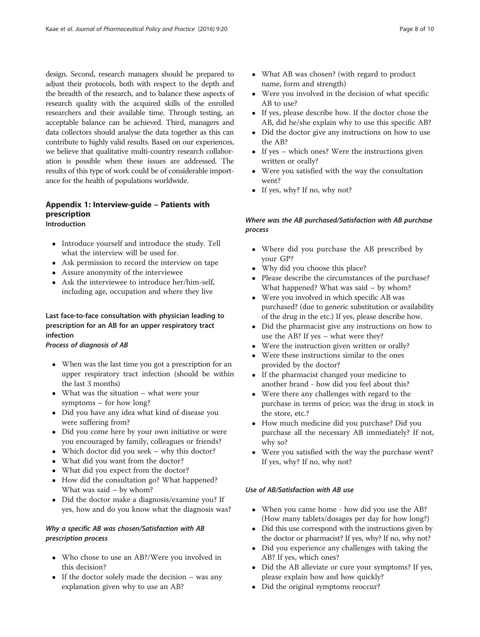<span id="page-7-0"></span>design. Second, research managers should be prepared to adjust their protocols, both with respect to the depth and the breadth of the research, and to balance these aspects of research quality with the acquired skills of the enrolled researchers and their available time. Through testing, an acceptable balance can be achieved. Third, managers and data collectors should analyse the data together as this can contribute to highly valid results. Based on our experiences, we believe that qualitative multi-country research collaboration is possible when these issues are addressed. The results of this type of work could be of considerable importance for the health of populations worldwide.

# Appendix 1: Interview-guide – Patients with prescription Introduction

- Introduce yourself and introduce the study. Tell what the interview will be used for.
- Ask permission to record the interview on tape
- Assure anonymity of the interviewee
- Ask the interviewee to introduce her/him-self, including age, occupation and where they live

# Last face-to-face consultation with physician leading to prescription for an AB for an upper respiratory tract infection

# Process of diagnosis of AB

- When was the last time you got a prescription for an upper respiratory tract infection (should be within the last 3 months)
- What was the situation what were your symptoms – for how long?
- Did you have any idea what kind of disease you were suffering from?
- Did you come here by your own initiative or were you encouraged by family, colleagues or friends?
- Which doctor did you seek why this doctor?
- What did you want from the doctor?
- What did you expect from the doctor?
- How did the consultation go? What happened? What was said – by whom?
- Did the doctor make a diagnosis/examine you? If yes, how and do you know what the diagnosis was?

# Why a specific AB was chosen/Satisfaction with AB prescription process

- Who chose to use an AB?/Were you involved in this decision?
- If the doctor solely made the decision was any explanation given why to use an AB?
- What AB was chosen? (with regard to product name, form and strength)
- Were you involved in the decision of what specific AB to use?
- If yes, please describe how. If the doctor chose the AB, did he/she explain why to use this specific AB?
- Did the doctor give any instructions on how to use the AB?
- If yes which ones? Were the instructions given written or orally?
- Were you satisfied with the way the consultation went?
- If yes, why? If no, why not?

# Where was the AB purchased/Satisfaction with AB purchase process

- Where did you purchase the AB prescribed by your GP?
- Why did you choose this place?
- Please describe the circumstances of the purchase? What happened? What was said – by whom?
- Were you involved in which specific AB was purchased? (due to generic substitution or availability of the drug in the etc.) If yes, please describe how.
- Did the pharmacist give any instructions on how to use the AB? If yes – what were they?
- Were the instruction given written or orally?
- Were these instructions similar to the ones provided by the doctor?
- If the pharmacist changed your medicine to another brand - how did you feel about this?
- Were there any challenges with regard to the purchase in terms of price; was the drug in stock in the store, etc.?
- How much medicine did you purchase? Did you purchase all the necessary AB immediately? If not, why so?
- Were you satisfied with the way the purchase went? If yes, why? If no, why not?

# Use of AB/Satisfaction with AB use

- When you came home how did you use the AB? (How many tablets/dosages per day for how long?)
- Did this use correspond with the instructions given by the doctor or pharmacist? If yes, why? If no, why not?
- Did you experience any challenges with taking the AB? If yes, which ones?
- Did the AB alleviate or cure your symptoms? If yes, please explain how and how quickly?
- Did the original symptoms reoccur?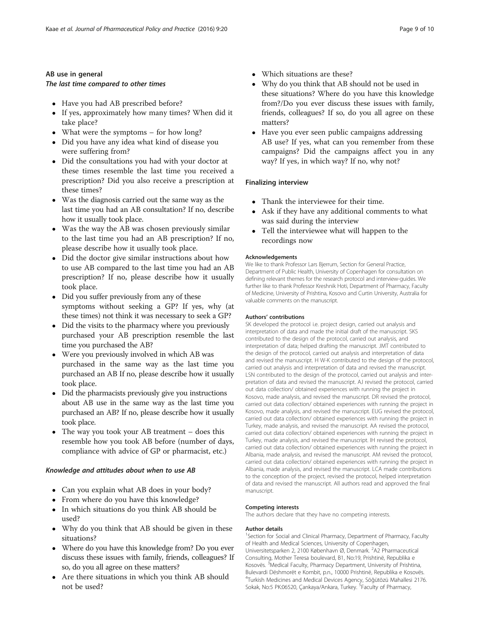# AB use in general

## The last time compared to other times

- Have you had AB prescribed before?
- If yes, approximately how many times? When did it take place?
- What were the symptoms for how long?
- Did you have any idea what kind of disease you were suffering from?
- Did the consultations you had with your doctor at these times resemble the last time you received a prescription? Did you also receive a prescription at these times?
- Was the diagnosis carried out the same way as the last time you had an AB consultation? If no, describe how it usually took place.
- Was the way the AB was chosen previously similar to the last time you had an AB prescription? If no, please describe how it usually took place.
- Did the doctor give similar instructions about how to use AB compared to the last time you had an AB prescription? If no, please describe how it usually took place.
- Did you suffer previously from any of these symptoms without seeking a GP? If yes, why (at these times) not think it was necessary to seek a GP?
- Did the visits to the pharmacy where you previously purchased your AB prescription resemble the last time you purchased the AB?
- Were you previously involved in which AB was purchased in the same way as the last time you purchased an AB If no, please describe how it usually took place.
- Did the pharmacists previously give you instructions about AB use in the same way as the last time you purchased an AB? If no, please describe how it usually took place.
- The way you took your AB treatment does this resemble how you took AB before (number of days, compliance with advice of GP or pharmacist, etc.)

## Knowledge and attitudes about when to use AB

- Can you explain what AB does in your body?
- From where do you have this knowledge?
- In which situations do you think AB should be used?
- Why do you think that AB should be given in these situations?
- Where do you have this knowledge from? Do you ever discuss these issues with family, friends, colleagues? If so, do you all agree on these matters?
- Are there situations in which you think AB should not be used?
- Which situations are these?
- Why do you think that AB should not be used in these situations? Where do you have this knowledge from?/Do you ever discuss these issues with family, friends, colleagues? If so, do you all agree on these matters?
- Have you ever seen public campaigns addressing AB use? If yes, what can you remember from these campaigns? Did the campaigns affect you in any way? If yes, in which way? If no, why not?

# Finalizing interview

- Thank the interviewee for their time.
- Ask if they have any additional comments to what was said during the interview
- Tell the interviewee what will happen to the recordings now

#### Acknowledgements

We like to thank Professor Lars Bjerrum, Section for General Practice, Department of Public Health, University of Copenhagen for consultation on defining relevant themes for the research protocol and interview-guides. We further like to thank Professor Kreshnik Hoti, Department of Pharmacy, Faculty of Medicine, University of Prishtina, Kosovo and Curtin University, Australia for valuable comments on the manuscript.

#### Authors' contributions

SK developed the protocol i.e. project design, carried out analysis and interpretation of data and made the initial draft of the manuscript. SKS contributed to the design of the protocol, carried out analysis, and interpretation of data; helped drafting the manuscript. JMT contributed to the design of the protocol, carried out analysis and interpretation of data and revised the manuscript. H W-K contributed to the design of the protocol, carried out analysis and interpretation of data and revised the manuscript. LSN contributed to the design of the protocol, carried out analysis and interpretation of data and revised the manuscript. AJ revised the protocol, carried out data collection/ obtained experiences with running the project in Kosovo, made analysis, and revised the manuscript. DR revised the protocol, carried out data collection/ obtained experiences with running the project in Kosovo, made analysis, and revised the manuscript. EUG revised the protocol, carried out data collection/ obtained experiences with running the project in Turkey, made analysis, and revised the manuscript. AA revised the protocol, carried out data collection/ obtained experiences with running the project in Turkey, made analysis, and revised the manuscript. IH revised the protocol, carried out data collection/ obtained experiences with running the project in Albania, made analysis, and revised the manuscript. AM revised the protocol, carried out data collection/ obtained experiences with running the project in Albania, made analysis, and revised the manuscript. LCA made contributions to the conception of the project, revised the protocol, helped interpretation of data and revised the manuscript. All authors read and approved the final manuscript.

#### Competing interests

The authors declare that they have no competing interests.

#### Author details

<sup>1</sup>Section for Social and Clinical Pharmacy, Department of Pharmacy, Faculty of Health and Medical Sciences, University of Copenhagen, Universitetsparken 2, 2100 København Ø, Denmark. <sup>2</sup>A2 Pharmaceutical Consulting, Mother Teresa boulevard, B1, No:19, Prishtinë, Republika e Kosovës. <sup>3</sup>Medical Faculty, Pharmacy Department, University of Prishtina, Bulevardi Dëshmorët e Kombit, p.n., 10000 Prishtinë, Republika e Kosovës. 4 Turkish Medicines and Medical Devices Agency, Söğütözü Mahallesi 2176. Sokak, No:5 PK:06520, Çankaya/Ankara, Turkey. <sup>5</sup>Faculty of Pharmacy,